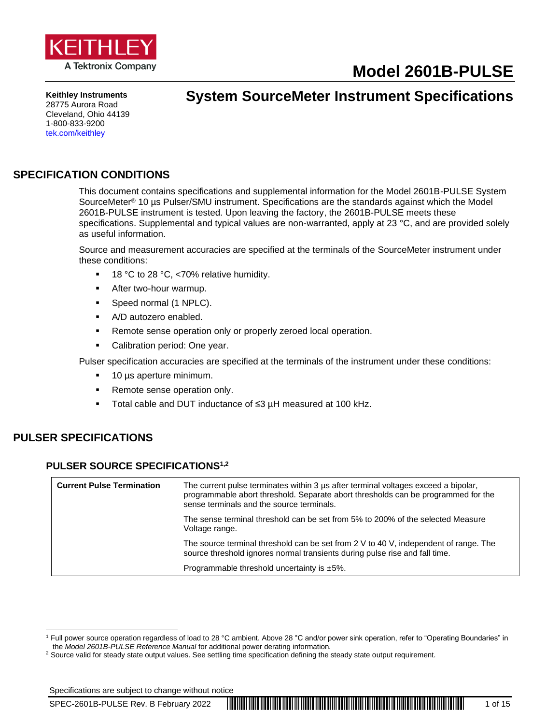

# **Model 2601B-PULSE**

**Keithley Instruments** 28775 Aurora Road Cleveland, Ohio 44139 1-800-833-9200 [tek.com/keithley](https://www.tek.com/en/products/keithley)

# **System SourceMeter Instrument Specifications**

### **SPECIFICATION CONDITIONS**

This document contains specifications and supplemental information for the Model 2601B-PULSE System SourceMeter® 10 µs Pulser/SMU instrument. Specifications are the standards against which the Model 2601B-PULSE instrument is tested. Upon leaving the factory, the 2601B-PULSE meets these specifications. Supplemental and typical values are non-warranted, apply at 23 °C, and are provided solely as useful information.

Source and measurement accuracies are specified at the terminals of the SourceMeter instrument under these conditions:

- 18 °C to 28 °C, <70% relative humidity.
- **■** After two-hour warmup.
- Speed normal (1 NPLC).
- A/D autozero enabled.
- Remote sense operation only or properly zeroed local operation.
- Calibration period: One year.

Pulser specification accuracies are specified at the terminals of the instrument under these conditions:

- 10 µs aperture minimum.
- Remote sense operation only.
- Total cable and DUT inductance of ≤3 µH measured at 100 kHz.

### **PULSER SPECIFICATIONS**

#### **PULSER SOURCE SPECIFICATIONS1,2**

| <b>Current Pulse Termination</b> | The current pulse terminates within 3 us after terminal voltages exceed a bipolar,<br>programmable abort threshold. Separate abort thresholds can be programmed for the<br>sense terminals and the source terminals. |
|----------------------------------|----------------------------------------------------------------------------------------------------------------------------------------------------------------------------------------------------------------------|
|                                  | The sense terminal threshold can be set from 5% to 200% of the selected Measure<br>Voltage range.                                                                                                                    |
|                                  | The source terminal threshold can be set from 2 V to 40 V, independent of range. The<br>source threshold ignores normal transients during pulse rise and fall time.                                                  |
|                                  | Programmable threshold uncertainty is $±5\%$ .                                                                                                                                                                       |

<sup>&</sup>lt;sup>1</sup> Full power source operation regardless of load to 28 °C ambient. Above 28 °C and/or power sink operation, refer to "Operating Boundaries" in the *Model 2601B-PULSE Reference Manual* for additional power derating information.

<sup>&</sup>lt;sup>2</sup> Source valid for steady state output values. See settling time specification defining the steady state output requirement.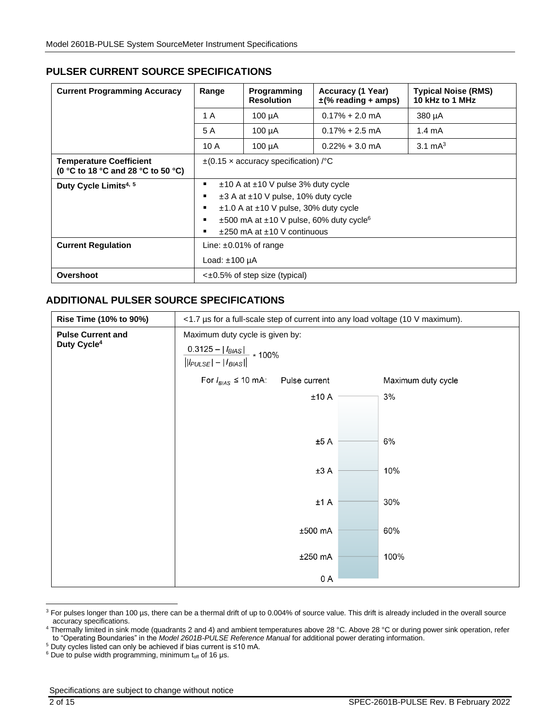### **PULSER CURRENT SOURCE SPECIFICATIONS**

<span id="page-1-0"></span>

| <b>Current Programming Accuracy</b>                           | Range                                                                                                                                                                                                                            | Programming<br><b>Resolution</b> | Accuracy (1 Year)<br>$\pm$ (% reading + amps) | <b>Typical Noise (RMS)</b><br>10 kHz to 1 MHz |  |
|---------------------------------------------------------------|----------------------------------------------------------------------------------------------------------------------------------------------------------------------------------------------------------------------------------|----------------------------------|-----------------------------------------------|-----------------------------------------------|--|
|                                                               | 1 A                                                                                                                                                                                                                              | $100 \mu A$                      | $0.17\% + 2.0$ mA                             | $380 \mu A$                                   |  |
|                                                               | 5 A                                                                                                                                                                                                                              | $100 \mu A$                      | $0.17\% + 2.5$ mA                             | $1.4 \text{ mA}$                              |  |
|                                                               | 10A                                                                                                                                                                                                                              | $100 \mu A$                      | $0.22\% + 3.0$ mA                             | $3.1 \text{ mA}^3$                            |  |
| Temperature Coefficient<br>(0 °C to 18 °C and 28 °C to 50 °C) | $\pm$ (0.15 x accuracy specification) / °C                                                                                                                                                                                       |                                  |                                               |                                               |  |
| Duty Cycle Limits <sup>4, 5</sup>                             | ±10 A at ±10 V pulse 3% duty cycle<br>$\pm 3$ A at $\pm 10$ V pulse, 10% duty cycle<br>$\pm$ 1.0 A at $\pm$ 10 V pulse, 30% duty cycle<br>±500 mA at ±10 V pulse, 60% duty cycle <sup>6</sup><br>$±250$ mA at $±10$ V continuous |                                  |                                               |                                               |  |
| <b>Current Regulation</b>                                     | Line: $\pm 0.01\%$ of range<br>Load: $±100 \mu A$                                                                                                                                                                                |                                  |                                               |                                               |  |
| Overshoot                                                     | $\leq$ ±0.5% of step size (typical)                                                                                                                                                                                              |                                  |                                               |                                               |  |

### **ADDITIONAL PULSER SOURCE SPECIFICATIONS**

| Rise Time (10% to 90%)   | <1.7 µs for a full-scale step of current into any load voltage (10 V maximum). |         |  |      |  |  |
|--------------------------|--------------------------------------------------------------------------------|---------|--|------|--|--|
| <b>Pulse Current and</b> | Maximum duty cycle is given by:                                                |         |  |      |  |  |
| Duty Cycle <sup>4</sup>  | $\frac{0.3125 -  I_{BIAS} }{  I_{PULSE}  -  I_{BIAS}  } * 100\%$               |         |  |      |  |  |
|                          | For $I_{B/AS} \leq 10$ mA:<br>Pulse current<br>Maximum duty cycle              |         |  |      |  |  |
|                          |                                                                                | ±10A    |  | 3%   |  |  |
|                          |                                                                                |         |  |      |  |  |
|                          |                                                                                | ±5A     |  | 6%   |  |  |
|                          |                                                                                | ±3A     |  | 10%  |  |  |
|                          |                                                                                | ±1A     |  | 30%  |  |  |
|                          |                                                                                | ±500 mA |  | 60%  |  |  |
|                          |                                                                                | ±250 mA |  | 100% |  |  |
|                          |                                                                                | 0 A     |  |      |  |  |

<sup>&</sup>lt;sup>3</sup> For pulses longer than 100 µs, there can be a thermal drift of up to 0.004% of source value. This drift is already included in the overall source accuracy specifications.

<sup>5</sup> Duty cycles listed can only be achieved if bias current is ≤10 mA.

<sup>&</sup>lt;sup>4</sup> Thermally limited in sink mode (quadrants 2 and 4) and ambient temperatures above 28 °C. Above 28 °C or during power sink operation, refer to "Operating Boundaries" in the *Model 2601B-PULSE Reference Manual* for additional power derating information.

 $6$  Due to pulse width programming, minimum toff of 16 μs.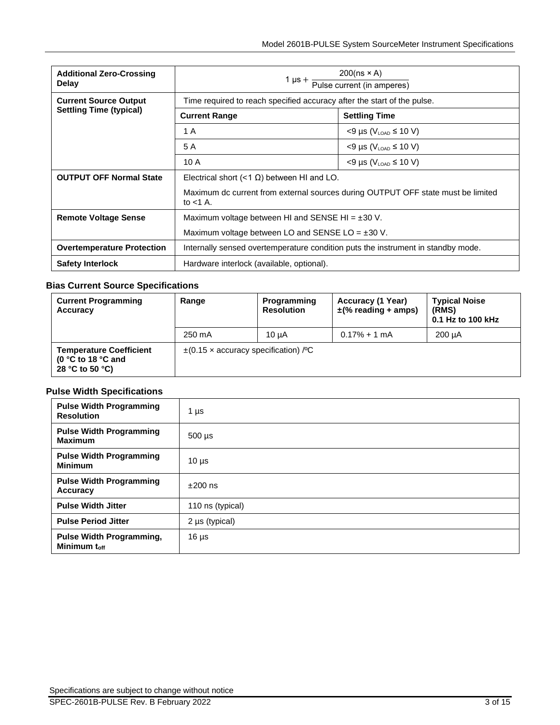| <b>Additional Zero-Crossing</b><br><b>Delay</b> | 1 $\mu s + \frac{200(n s \times A)}{Pulse current (in amperes)}$                                |                                      |  |  |
|-------------------------------------------------|-------------------------------------------------------------------------------------------------|--------------------------------------|--|--|
| <b>Current Source Output</b>                    | Time required to reach specified accuracy after the start of the pulse.                         |                                      |  |  |
| <b>Settling Time (typical)</b>                  | <b>Current Range</b>                                                                            | <b>Settling Time</b>                 |  |  |
|                                                 | 1 A                                                                                             | $<$ 9 µs ( $V_{\text{LOAD}}$ ≤ 10 V) |  |  |
|                                                 | 5 A                                                                                             | $<$ 9 µs (V <sub>LOAD</sub> ≤ 10 V)  |  |  |
|                                                 | 10A                                                                                             | $<$ 9 µs ( $V_{\text{LOAD}}$ ≤ 10 V) |  |  |
| <b>OUTPUT OFF Normal State</b>                  | Electrical short $(1 \Omega) between HI and LO.$                                                |                                      |  |  |
|                                                 | Maximum dc current from external sources during OUTPUT OFF state must be limited<br>to $<$ 1 A. |                                      |  |  |
| <b>Remote Voltage Sense</b>                     | Maximum voltage between HI and SENSE HI = $\pm 30$ V.                                           |                                      |  |  |
|                                                 | Maximum voltage between LO and SENSE LO = $\pm 30$ V.                                           |                                      |  |  |
| <b>Overtemperature Protection</b>               | Internally sensed overtemperature condition puts the instrument in standby mode.                |                                      |  |  |
| <b>Safety Interlock</b>                         | Hardware interlock (available, optional).                                                       |                                      |  |  |

#### **Bias Current Source Specifications**

| <b>Current Programming</b><br>Accuracy                                                    | Range                                     | Programming<br><b>Resolution</b> | Accuracy (1 Year)<br>$\pm$ (% reading + amps) | <b>Typical Noise</b><br>(RMS)<br>0.1 Hz to 100 kHz |
|-------------------------------------------------------------------------------------------|-------------------------------------------|----------------------------------|-----------------------------------------------|----------------------------------------------------|
|                                                                                           | 250 mA                                    | 10 uA                            | $0.17\% + 1 \text{ mA}$                       | 200 uA                                             |
| <b>Temperature Coefficient</b><br>(0 $\degree$ C to 18 $\degree$ C and<br>28 °C to 50 °C) | $\pm$ (0.15 x accuracy specification) / C |                                  |                                               |                                                    |

### **Pulse Width Specifications**

| <b>Pulse Width Programming</b><br><b>Resolution</b>         | 1 µs                |
|-------------------------------------------------------------|---------------------|
| <b>Pulse Width Programming</b><br><b>Maximum</b>            | $500 \mu s$         |
| <b>Pulse Width Programming</b><br><b>Minimum</b>            | $10 \mu s$          |
| <b>Pulse Width Programming</b><br>Accuracy                  | $±200$ ns           |
| <b>Pulse Width Jitter</b>                                   | 110 ns (typical)    |
| <b>Pulse Period Jitter</b>                                  | $2 \mu s$ (typical) |
| <b>Pulse Width Programming,</b><br>Minimum t <sub>off</sub> | $16 \mu s$          |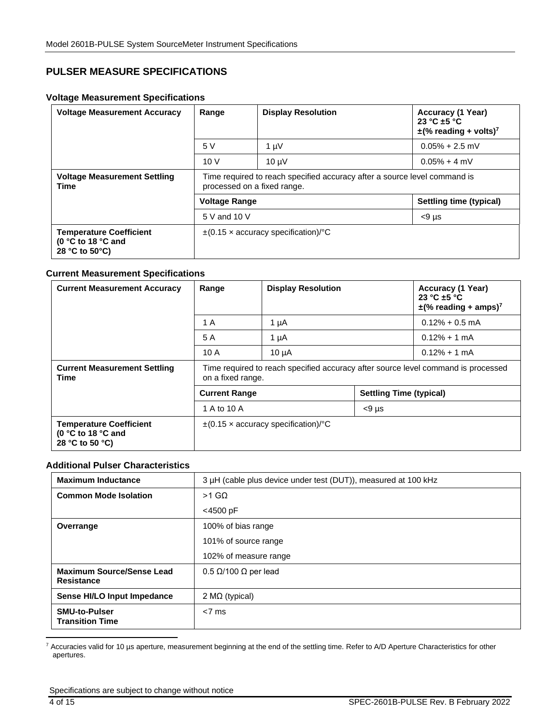### **PULSER MEASURE SPECIFICATIONS**

#### **Voltage Measurement Specifications**

<span id="page-3-0"></span>

| <b>Voltage Measurement Accuracy</b>                                              | Range                                                                                                    | <b>Display Resolution</b> | Accuracy (1 Year)<br>23 °C $\pm$ 5 °C<br>$\pm$ (% reading + volts) <sup>7</sup> |  |  |
|----------------------------------------------------------------------------------|----------------------------------------------------------------------------------------------------------|---------------------------|---------------------------------------------------------------------------------|--|--|
|                                                                                  | 5V                                                                                                       | $1 \mu V$                 | $0.05\% + 2.5$ mV                                                               |  |  |
|                                                                                  | 10V                                                                                                      | $10 \mu V$                | $0.05\% + 4$ mV                                                                 |  |  |
| <b>Voltage Measurement Settling</b><br>Time                                      | Time required to reach specified accuracy after a source level command is<br>processed on a fixed range. |                           |                                                                                 |  |  |
|                                                                                  | Settling time (typical)<br><b>Voltage Range</b>                                                          |                           |                                                                                 |  |  |
|                                                                                  | 5 V and 10 V                                                                                             |                           | $< 9 \mu s$                                                                     |  |  |
| <b>Temperature Coefficient</b><br>(0 °C to 18 °C and<br>28 °C to 50 $\degree$ C) | $\pm$ (0.15 x accuracy specification)/°C                                                                 |                           |                                                                                 |  |  |

#### **Current Measurement Specifications**

| <b>Current Measurement Accuracy</b>                                                       | Range                                                                                                  | <b>Display Resolution</b> |                                | Accuracy (1 Year)<br>23 °C $\pm$ 5 °C<br>$\pm$ (% reading + amps) <sup>7</sup> |
|-------------------------------------------------------------------------------------------|--------------------------------------------------------------------------------------------------------|---------------------------|--------------------------------|--------------------------------------------------------------------------------|
|                                                                                           | 1 A                                                                                                    | 1 µA                      |                                | $0.12\% + 0.5$ mA                                                              |
|                                                                                           | 5 A                                                                                                    | 1 $\mu$ A                 |                                | $0.12\% + 1$ mA                                                                |
|                                                                                           | 10 A                                                                                                   | $10 \mu A$                |                                | $0.12\% + 1$ mA                                                                |
| <b>Current Measurement Settling</b><br>Time                                               | Time required to reach specified accuracy after source level command is processed<br>on a fixed range. |                           |                                |                                                                                |
|                                                                                           | <b>Current Range</b>                                                                                   |                           | <b>Settling Time (typical)</b> |                                                                                |
|                                                                                           | 1 A to 10 A                                                                                            |                           | $< 9 \mu s$                    |                                                                                |
| <b>Temperature Coefficient</b><br>(0 $\degree$ C to 18 $\degree$ C and<br>28 °C to 50 °C) | $\pm$ (0.15 x accuracy specification)/°C                                                               |                           |                                |                                                                                |

#### **Additional Pulser Characteristics**

| <b>Maximum Inductance</b>                      | 3 µH (cable plus device under test (DUT)), measured at 100 kHz |  |  |  |
|------------------------------------------------|----------------------------------------------------------------|--|--|--|
| <b>Common Mode Isolation</b>                   | $>1$ GQ                                                        |  |  |  |
|                                                | $<$ 4500 pF                                                    |  |  |  |
| Overrange                                      | 100% of bias range                                             |  |  |  |
|                                                | 101% of source range                                           |  |  |  |
|                                                | 102% of measure range                                          |  |  |  |
| <b>Maximum Source/Sense Lead</b><br>Resistance | $0.5 \Omega/100 \Omega$ per lead                               |  |  |  |
| Sense HI/LO Input Impedance                    | 2 $M\Omega$ (typical)                                          |  |  |  |
| <b>SMU-to-Pulser</b><br><b>Transition Time</b> | $< 7$ ms                                                       |  |  |  |

7 Accuracies valid for 10 µs aperture, measurement beginning at the end of the settling time. Refer to [A/D Aperture Characteristics](#page-4-0) for other apertures.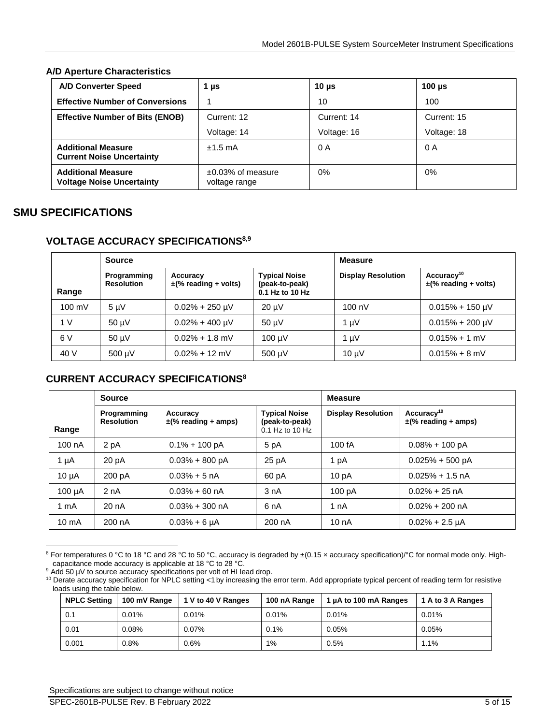#### <span id="page-4-0"></span>**A/D Aperture Characteristics**

| <b>A/D Converter Speed</b>                                    | 1 µs                                     | 10 $\mu$ s  | 100 $\mu$ s |
|---------------------------------------------------------------|------------------------------------------|-------------|-------------|
| <b>Effective Number of Conversions</b>                        |                                          | 10          | 100         |
| <b>Effective Number of Bits (ENOB)</b>                        | Current: 12                              | Current: 14 | Current: 15 |
|                                                               | Voltage: 14                              | Voltage: 16 | Voltage: 18 |
| <b>Additional Measure</b><br><b>Current Noise Uncertainty</b> | $±1.5$ mA                                | 0 A         | 0 A         |
| <b>Additional Measure</b><br><b>Voltage Noise Uncertainty</b> | $\pm 0.03\%$ of measure<br>voltage range | 0%          | 0%          |

### **SMU SPECIFICATIONS**

#### **VOLTAGE ACCURACY SPECIFICATIONS8,9**

<span id="page-4-2"></span><span id="page-4-1"></span>

| <b>Source</b>    |                           |                                       | <b>Measure</b>                                            |                           |                                                     |
|------------------|---------------------------|---------------------------------------|-----------------------------------------------------------|---------------------------|-----------------------------------------------------|
| Range            | Programming<br>Resolution | Accuracy<br>$\pm$ (% reading + volts) | <b>Typical Noise</b><br>(peak-to-peak)<br>0.1 Hz to 10 Hz | <b>Display Resolution</b> | Accuracy <sup>10</sup><br>$\pm$ (% reading + volts) |
| $100 \text{ mV}$ | $5 \mu V$                 | $0.02\% + 250 \text{ }\mu\text{V}$    | $20 \mu V$                                                | 100 nV                    | $0.015\% + 150 \,\mathrm{\upmu V}$                  |
| 1 V              | $50 \mu V$                | $0.02\% + 400 \text{ }\mu\text{V}$    | $50 \mu V$                                                | 1 $\mu$ V                 | $0.015\% + 200 \mu V$                               |
| 6 V              | 50 µV                     | $0.02\% + 1.8$ mV                     | $100 \mu V$                                               | $1 \mu V$                 | $0.015% + 1$ mV                                     |
| 40 V             | 500 µV                    | $0.02\% + 12$ mV                      | $500 \mu V$                                               | $10 \mu V$                | $0.015% + 8$ mV                                     |

### **CURRENT ACCURACY SPECIFICATION[S](#page-4-1)<sup>8</sup>**

|                  | <b>Source</b>                    |                                      |                                                             | <b>Measure</b>            |                                                    |  |
|------------------|----------------------------------|--------------------------------------|-------------------------------------------------------------|---------------------------|----------------------------------------------------|--|
| Range            | Programming<br><b>Resolution</b> | Accuracy<br>$\pm$ (% reading + amps) | <b>Typical Noise</b><br>(peak-to-peak)<br>$0.1$ Hz to 10 Hz | <b>Display Resolution</b> | Accuracy <sup>10</sup><br>$\pm$ (% reading + amps) |  |
| 100 nA           | 2 pA                             | $0.1\% + 100 \text{ pA}$             | 5 pA                                                        | 100 fA                    | $0.08\% + 100 \text{ pA}$                          |  |
| 1 µA             | 20 pA                            | $0.03\% + 800$ pA                    | 25 pA                                                       | 1 pA                      | $0.025% + 500$ pA                                  |  |
| $10 \mu A$       | 200 pA                           | $0.03\% + 5 \text{ nA}$              | 60 pA                                                       | 10 <sub>p</sub> A         | $0.025\% + 1.5$ nA                                 |  |
| $100 \mu A$      | 2 nA                             | $0.03\% + 60$ nA                     | 3 nA                                                        | 100 pA                    | $0.02\% + 25$ nA                                   |  |
| 1 <sub>m</sub> A | 20 nA                            | $0.03\% + 300$ nA                    | 6 <sub>n</sub> A                                            | 1 nA                      | $0.02\% + 200$ nA                                  |  |
| $10 \text{ mA}$  | 200 nA                           | $0.03% + 6 \mu A$                    | 200 nA                                                      | 10nA                      | $0.02\% + 2.5 \mu A$                               |  |

<sup>&</sup>lt;sup>8</sup> For temperatures 0 °C to 18 °C and 28 °C to 50 °C, accuracy is degraded by ±(0.15 x accuracy specification)/°C for normal mode only. Highcapacitance mode accuracy is applicable at 18 °C to 28 °C.

9 Add 50 µV to source accuracy specifications per volt of HI lead drop.

<sup>&</sup>lt;sup>10</sup> Derate accuracy specification for NPLC setting <1 by increasing the error term. Add appropriate typical percent of reading term for resistive loads using the table below.

| <b>NPLC Setting</b> | 100 mV Range | 1 V to 40 V Ranges | 100 nA Range | 1 µA to 100 mA Ranges | 1 A to 3 A Ranges |
|---------------------|--------------|--------------------|--------------|-----------------------|-------------------|
| 0.1                 | 0.01%        | 0.01%              | 0.01%        | 0.01%                 | 0.01%             |
| 0.01                | 0.08%        | $0.07\%$           | 0.1%         | 0.05%                 | 0.05%             |
| 0.001               | 0.8%         | 0.6%               | 1%           | 0.5%                  | 1.1%              |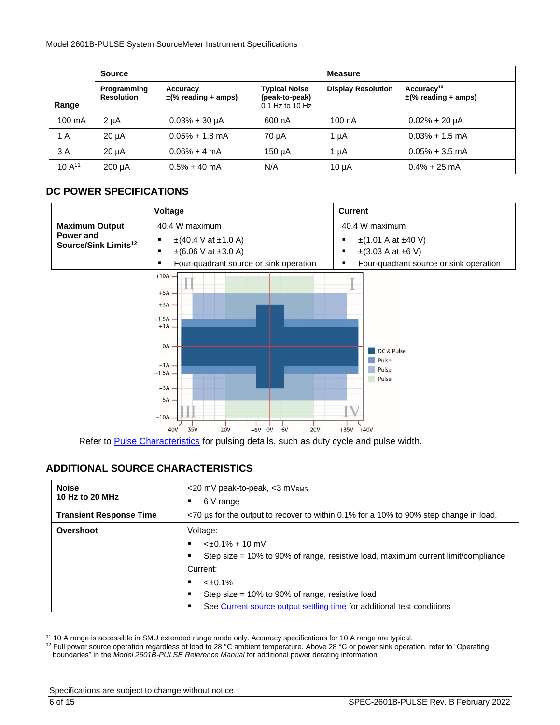|                  | <b>Source</b>                    |                                      | <b>Measure</b>                                              |                           |                                                    |
|------------------|----------------------------------|--------------------------------------|-------------------------------------------------------------|---------------------------|----------------------------------------------------|
| Range            | Programming<br><b>Resolution</b> | Accuracy<br>$\pm$ (% reading + amps) | <b>Typical Noise</b><br>(peak-to-peak)<br>$0.1$ Hz to 10 Hz | <b>Display Resolution</b> | Accuracy <sup>10</sup><br>$\pm$ (% reading + amps) |
| $100 \text{ mA}$ | $2 \mu A$                        | $0.03% + 30 \mu A$                   | 600 nA                                                      | 100 nA                    | $0.02\% + 20 \mu A$                                |
| 1 A              | $20 \mu A$                       | $0.05\% + 1.8$ mA                    | 70 uA                                                       | 1 µA                      | $0.03\% + 1.5$ mA                                  |
| 3 A              | $20 \mu A$                       | $0.06\% + 4 \text{ mA}$              | 150 µA                                                      | 1 µA                      | $0.05\% + 3.5$ mA                                  |
| $10A^{11}$       | $200 \mu A$                      | $0.5\% + 40$ mA                      | N/A                                                         | $10 \mu A$                | $0.4\% + 25$ mA                                    |

### **DC POWER SPECIFICATIONS**



Refer to [Pulse Characteristics](#page-9-0) for pulsing details, such as duty cycle and pulse width.

### **ADDITIONAL SOURCE CHARACTERISTICS**

| <b>Noise</b>                   | <20 mV peak-to-peak, <3 mVRMS                                                         |  |  |  |  |  |  |
|--------------------------------|---------------------------------------------------------------------------------------|--|--|--|--|--|--|
| 10 Hz to 20 MHz                | 6 V range<br>٠                                                                        |  |  |  |  |  |  |
| <b>Transient Response Time</b> | <70 us for the output to recover to within 0.1% for a 10% to 90% step change in load. |  |  |  |  |  |  |
| Overshoot                      | Voltage:                                                                              |  |  |  |  |  |  |
|                                | $\leq \pm 0.1\% + 10$ mV                                                              |  |  |  |  |  |  |
|                                | Step size $= 10\%$ to 90% of range, resistive load, maximum current limit/compliance  |  |  |  |  |  |  |
|                                | Current:                                                                              |  |  |  |  |  |  |
|                                | $<\pm 0.1\%$                                                                          |  |  |  |  |  |  |
|                                | Step size = $10\%$ to 90% of range, resistive load<br>٠                               |  |  |  |  |  |  |
|                                | See Current source output settling time for additional test conditions<br>٠           |  |  |  |  |  |  |

<sup>11</sup> 10 A range is accessible in SMU extended range mode only. Accuracy specifications for 10 A range are typical.

<sup>&</sup>lt;sup>12</sup> Full power source operation regardless of load to 28 °C ambient temperature. Above 28 °C or power sink operation, refer to "Operating boundaries" in the *Model 2601B-PULSE Reference Manual* for additional power derating information.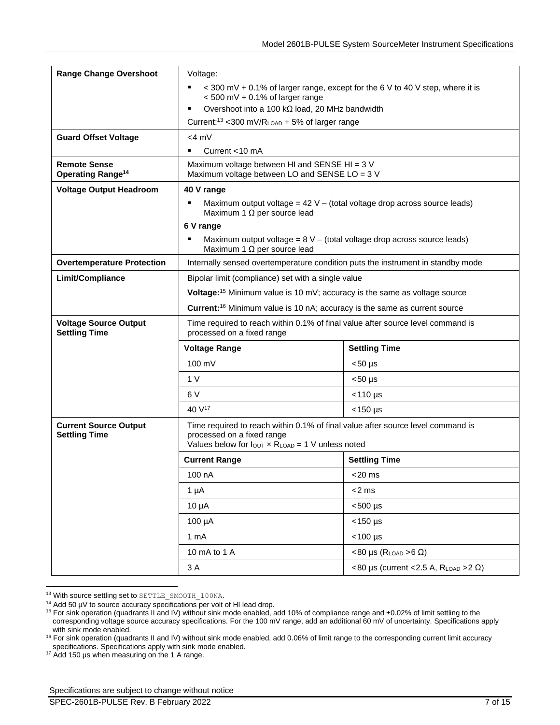| <b>Range Change Overshoot</b>                              | Voltage:                                                                                                                                                                                     |                                             |  |  |
|------------------------------------------------------------|----------------------------------------------------------------------------------------------------------------------------------------------------------------------------------------------|---------------------------------------------|--|--|
|                                                            | < 300 mV + 0.1% of larger range, except for the 6 V to 40 V step, where it is<br>$<$ 500 mV + 0.1% of larger range                                                                           |                                             |  |  |
|                                                            | Overshoot into a 100 k $\Omega$ load, 20 MHz bandwidth<br>٠                                                                                                                                  |                                             |  |  |
|                                                            | Current: $13$ < 300 mV/RLOAD + 5% of larger range                                                                                                                                            |                                             |  |  |
| <b>Guard Offset Voltage</b>                                | $<$ 4 m $V$                                                                                                                                                                                  |                                             |  |  |
|                                                            | Current $<$ 10 mA<br>٠                                                                                                                                                                       |                                             |  |  |
| <b>Remote Sense</b><br><b>Operating Range<sup>14</sup></b> | Maximum voltage between HI and SENSE HI = 3 V<br>Maximum voltage between LO and SENSE LO = 3 V                                                                                               |                                             |  |  |
| <b>Voltage Output Headroom</b>                             | 40 V range                                                                                                                                                                                   |                                             |  |  |
|                                                            | Maximum output voltage = $42 V -$ (total voltage drop across source leads)<br>$\blacksquare$<br>Maximum 1 $\Omega$ per source lead                                                           |                                             |  |  |
|                                                            | 6 V range                                                                                                                                                                                    |                                             |  |  |
|                                                            | Maximum output voltage = $8V -$ (total voltage drop across source leads)<br>Maximum 1 $\Omega$ per source lead                                                                               |                                             |  |  |
| <b>Overtemperature Protection</b>                          | Internally sensed overtemperature condition puts the instrument in standby mode                                                                                                              |                                             |  |  |
| Limit/Compliance                                           | Bipolar limit (compliance) set with a single value                                                                                                                                           |                                             |  |  |
|                                                            | Voltage: <sup>15</sup> Minimum value is 10 mV; accuracy is the same as voltage source                                                                                                        |                                             |  |  |
|                                                            | Current: <sup>16</sup> Minimum value is 10 nA; accuracy is the same as current source                                                                                                        |                                             |  |  |
|                                                            | Time required to reach within 0.1% of final value after source level command is                                                                                                              |                                             |  |  |
| <b>Voltage Source Output</b><br><b>Settling Time</b>       | processed on a fixed range                                                                                                                                                                   |                                             |  |  |
|                                                            | <b>Voltage Range</b>                                                                                                                                                                         | <b>Settling Time</b>                        |  |  |
|                                                            | 100 mV                                                                                                                                                                                       | $<$ 50 µs                                   |  |  |
|                                                            | 1 <sub>V</sub>                                                                                                                                                                               | $< 50 \mu s$                                |  |  |
|                                                            | 6V                                                                                                                                                                                           | $<$ 110 µs                                  |  |  |
|                                                            | 40 V <sup>17</sup>                                                                                                                                                                           | $<$ 150 µs                                  |  |  |
| <b>Current Source Output</b><br><b>Settling Time</b>       | Time required to reach within 0.1% of final value after source level command is<br>processed on a fixed range<br>Values below for $I_{\text{OUT}} \times R_{\text{LOAD}} = 1$ V unless noted |                                             |  |  |
|                                                            | <b>Current Range</b>                                                                                                                                                                         | <b>Settling Time</b>                        |  |  |
|                                                            | 100 nA                                                                                                                                                                                       | <20 ms                                      |  |  |
|                                                            | $1 \mu A$                                                                                                                                                                                    | <2 ms                                       |  |  |
|                                                            | $10 \mu A$                                                                                                                                                                                   | $<$ 500 µs                                  |  |  |
|                                                            | $100 \mu A$                                                                                                                                                                                  | $<$ 150 µs                                  |  |  |
|                                                            | 1 mA                                                                                                                                                                                         | $<$ 100 µs                                  |  |  |
|                                                            | 10 mA to 1 A                                                                                                                                                                                 | $<$ 80 µs (R <sub>LOAD</sub> > 6 $\Omega$ ) |  |  |

<sup>&</sup>lt;sup>13</sup> With source settling set to SETTLE\_SMOOTH\_100NA.

<sup>17</sup> Add 150 µs when measuring on the 1 A range.

<sup>&</sup>lt;sup>14</sup> Add 50 µV to source accuracy specifications per volt of HI lead drop.

<sup>15</sup> For sink operation (quadrants II and IV) without sink mode enabled, add 10% of compliance range and ± 0.02% of limit settling to the corresponding voltage source accuracy specifications. For the 100 mV range, add an additional 60 mV of uncertainty. Specifications apply with sink mode enabled.

<sup>16</sup> For sink operation (quadrants II and IV) without sink mode enabled, add 0.06% of limit range to the corresponding current limit accuracy specifications. Specifications apply with sink mode enabled.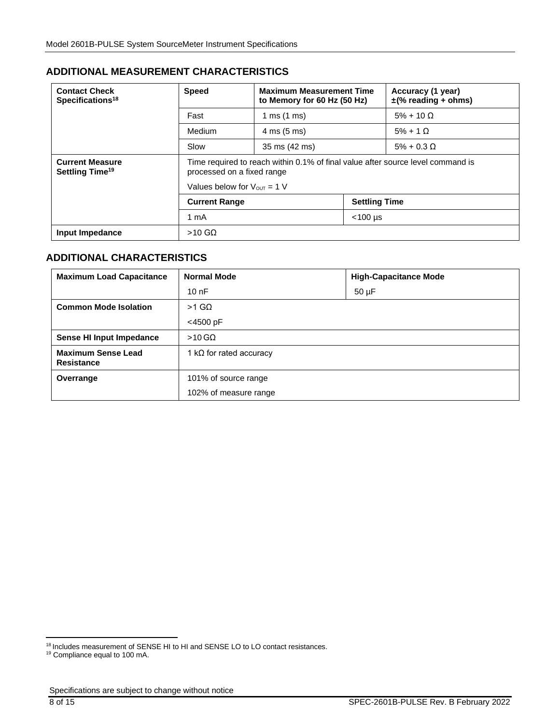### **ADDITIONAL MEASUREMENT CHARACTERISTICS**

| <b>Contact Check</b><br>Specifications <sup>18</sup>  | <b>Speed</b>                                                                                                  | <b>Maximum Measurement Time</b><br>to Memory for 60 Hz (50 Hz) |  | Accuracy (1 year)<br>$\pm$ (% reading + ohms) |
|-------------------------------------------------------|---------------------------------------------------------------------------------------------------------------|----------------------------------------------------------------|--|-----------------------------------------------|
|                                                       | Fast                                                                                                          | 1 ms $(1 \text{ ms})$                                          |  | $5\% + 10 \Omega$                             |
|                                                       | Medium                                                                                                        | $4 \text{ ms} (5 \text{ ms})$                                  |  | $5\% + 1$ $\Omega$                            |
|                                                       | Slow                                                                                                          | 35 ms (42 ms)                                                  |  | $5\% + 0.3 \Omega$                            |
| <b>Current Measure</b><br>Settling Time <sup>19</sup> | Time required to reach within 0.1% of final value after source level command is<br>processed on a fixed range |                                                                |  |                                               |
|                                                       | Values below for $V_{\text{OUT}} = 1$ V                                                                       |                                                                |  |                                               |
|                                                       | <b>Settling Time</b><br><b>Current Range</b>                                                                  |                                                                |  |                                               |
|                                                       | $<$ 100 µs<br>1 mA                                                                                            |                                                                |  |                                               |
| Input Impedance                                       | $>10$ GQ                                                                                                      |                                                                |  |                                               |

### **ADDITIONAL CHARACTERISTICS**

| <b>Maximum Load Capacitance</b>                | <b>Normal Mode</b>              | <b>High-Capacitance Mode</b> |
|------------------------------------------------|---------------------------------|------------------------------|
|                                                | 10nF                            | $50 \mu F$                   |
| <b>Common Mode Isolation</b>                   | $>1$ GQ                         |                              |
|                                                | <4500 pF                        |                              |
| Sense HI Input Impedance                       | $>10$ GQ                        |                              |
| <b>Maximum Sense Lead</b><br><b>Resistance</b> | 1 k $\Omega$ for rated accuracy |                              |
| Overrange                                      | 101% of source range            |                              |
|                                                | 102% of measure range           |                              |

<sup>18</sup> Includes measurement of SENSE HI to HI and SENSE LO to LO contact resistances.

<sup>19</sup> Compliance equal to 100 mA.

Specifications are subject to change without notice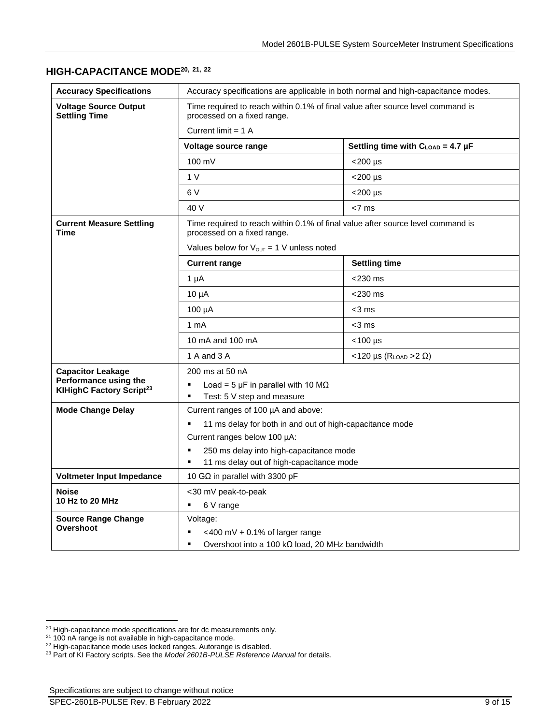# **HIGH-CAPACITANCE MODE20, 21, <sup>22</sup>**

| <b>Accuracy Specifications</b>                                | Accuracy specifications are applicable in both normal and high-capacitance modes.                              |                                                  |  |  |
|---------------------------------------------------------------|----------------------------------------------------------------------------------------------------------------|--------------------------------------------------|--|--|
| <b>Voltage Source Output</b><br><b>Settling Time</b>          | Time required to reach within 0.1% of final value after source level command is<br>processed on a fixed range. |                                                  |  |  |
|                                                               | Current limit $= 1$ A                                                                                          |                                                  |  |  |
|                                                               | Voltage source range                                                                                           | Settling time with $C_{\text{LOAD}} = 4.7 \mu F$ |  |  |
|                                                               | 100 mV                                                                                                         | <200 µs                                          |  |  |
|                                                               | 1 <sub>V</sub>                                                                                                 | $<$ 200 µs                                       |  |  |
|                                                               | 6V                                                                                                             | $<$ 200 µs                                       |  |  |
|                                                               | 40 V                                                                                                           | $< 7$ ms                                         |  |  |
| <b>Current Measure Settling</b><br><b>Time</b>                | Time required to reach within 0.1% of final value after source level command is<br>processed on a fixed range. |                                                  |  |  |
|                                                               | Values below for $V_{OUT} = 1$ V unless noted                                                                  |                                                  |  |  |
|                                                               | <b>Current range</b>                                                                                           | <b>Settling time</b>                             |  |  |
|                                                               | $1 \mu A$                                                                                                      | $<$ 230 ms                                       |  |  |
|                                                               | $10 \mu A$                                                                                                     | $<$ 230 ms                                       |  |  |
|                                                               | $100 \mu A$                                                                                                    | $<$ 3 ms                                         |  |  |
|                                                               | 1 <sub>m</sub> A                                                                                               | <3 ms                                            |  |  |
|                                                               | 10 mA and 100 mA                                                                                               | $<$ 100 µs                                       |  |  |
|                                                               | 1 A and 3 A                                                                                                    | <120 µs ( $R_{LOAD}$ > 2 $\Omega$ )              |  |  |
| <b>Capacitor Leakage</b>                                      | 200 ms at 50 nA                                                                                                |                                                  |  |  |
| Performance using the<br>KIHighC Factory Script <sup>23</sup> | Load = 5 $\mu$ F in parallel with 10 M $\Omega$<br>٠<br>Ξ                                                      |                                                  |  |  |
| <b>Mode Change Delay</b>                                      | Test: 5 V step and measure<br>Current ranges of 100 µA and above:                                              |                                                  |  |  |
|                                                               | 11 ms delay for both in and out of high-capacitance mode<br>٠                                                  |                                                  |  |  |
|                                                               | Current ranges below 100 µA:                                                                                   |                                                  |  |  |
|                                                               | 250 ms delay into high-capacitance mode<br>$\blacksquare$                                                      |                                                  |  |  |
|                                                               | 11 ms delay out of high-capacitance mode<br>$\blacksquare$                                                     |                                                  |  |  |
| Voltmeter Input Impedance                                     | 10 G $\Omega$ in parallel with 3300 pF                                                                         |                                                  |  |  |
| <b>Noise</b>                                                  | <30 mV peak-to-peak                                                                                            |                                                  |  |  |
| 10 Hz to 20 MHz                                               | 6 V range<br>٠                                                                                                 |                                                  |  |  |
| <b>Source Range Change</b><br>Overshoot                       | Voltage:                                                                                                       |                                                  |  |  |
|                                                               | <400 mV + 0.1% of larger range<br>$\blacksquare$<br>$\blacksquare$                                             |                                                  |  |  |
|                                                               | Overshoot into a 100 k $\Omega$ load, 20 MHz bandwidth                                                         |                                                  |  |  |

<sup>&</sup>lt;sup>20</sup> High-capacitance mode specifications are for dc measurements only.

 $21$  100 nA range is not available in high-capacitance mode.

 $22$  High-capacitance mode uses locked ranges. Autorange is disabled.

<sup>23</sup> Part of KI Factory scripts. See the *Model 2601B-PULSE Reference Manual* for details.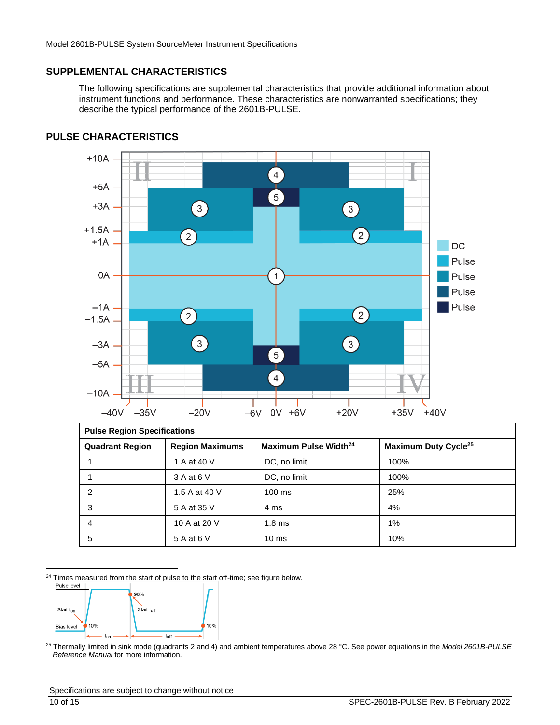#### **SUPPLEMENTAL CHARACTERISTICS**

The following specifications are supplemental characteristics that provide additional information about instrument functions and performance. These characteristics are nonwarranted specifications; they describe the typical performance of the 2601B-PULSE.



#### <span id="page-9-0"></span>**PULSE CHARACTERISTICS**

| <b>Pulse Region Specifications</b> |                        |                                   |                                  |  |  |  |
|------------------------------------|------------------------|-----------------------------------|----------------------------------|--|--|--|
| <b>Quadrant Region</b>             | <b>Region Maximums</b> | Maximum Pulse Width <sup>24</sup> | Maximum Duty Cycle <sup>25</sup> |  |  |  |
|                                    | 1 A at 40 V            | DC, no limit                      | 100%                             |  |  |  |
|                                    | 3 A at 6 V             | DC, no limit                      | 100%                             |  |  |  |
| $\overline{c}$                     | 1.5 A at 40 V          | $100 \text{ ms}$                  | 25%                              |  |  |  |
| 3                                  | 5 A at 35 V            | 4 ms                              | 4%                               |  |  |  |
| 4                                  | 10 A at 20 V           | 1.8 <sub>ms</sub>                 | 1%                               |  |  |  |
| 5                                  | 5 A at 6 V             | $10 \text{ ms}$                   | 10%                              |  |  |  |

<sup>24</sup> Times measured from the start of pulse to the start off-time; see figure below.



<sup>25</sup> Thermally limited in sink mode (quadrants 2 and 4) and ambient temperatures above 28 °C. See power equations in the *Model 2601B-PULSE Reference Manual* for more information.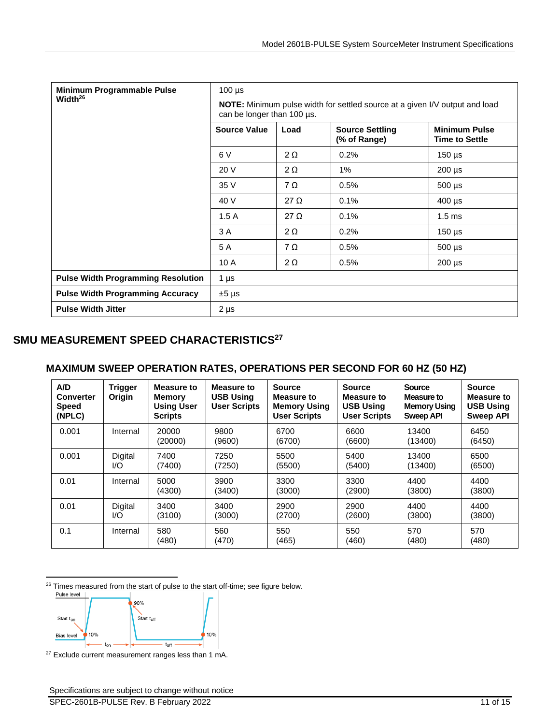| Minimum Programmable Pulse                | $100 \mu s$                                                                                                      |             |                                        |                                               |  |  |
|-------------------------------------------|------------------------------------------------------------------------------------------------------------------|-------------|----------------------------------------|-----------------------------------------------|--|--|
| Width <sup>26</sup>                       | <b>NOTE:</b> Minimum pulse width for settled source at a given I/V output and load<br>can be longer than 100 us. |             |                                        |                                               |  |  |
|                                           | <b>Source Value</b>                                                                                              | Load        | <b>Source Settling</b><br>(% of Range) | <b>Minimum Pulse</b><br><b>Time to Settle</b> |  |  |
|                                           | 6 V                                                                                                              | $2 \Omega$  | 0.2%                                   | $150 \mu s$                                   |  |  |
|                                           | 20 V                                                                                                             | $2 \Omega$  | 1%                                     | $200 \mu s$                                   |  |  |
|                                           | 35 V                                                                                                             | $7\Omega$   | 0.5%                                   | $500 \mu s$                                   |  |  |
|                                           | 40 V                                                                                                             | 27 $\Omega$ | 0.1%                                   | $400 \mu s$                                   |  |  |
|                                           | 1.5A                                                                                                             | $27 \Omega$ | 0.1%                                   | 1.5 <sub>ms</sub>                             |  |  |
|                                           | 3 A                                                                                                              | $2 \Omega$  | 0.2%                                   | $150 \mu s$                                   |  |  |
|                                           | 5 A                                                                                                              | $7\Omega$   | 0.5%                                   | $500 \mu s$                                   |  |  |
|                                           | 10 A                                                                                                             | $2 \Omega$  | 0.5%                                   | $200 \mu s$                                   |  |  |
| <b>Pulse Width Programming Resolution</b> | $1 \mu s$                                                                                                        |             |                                        |                                               |  |  |
| <b>Pulse Width Programming Accuracy</b>   | $±5 \mu s$                                                                                                       |             |                                        |                                               |  |  |
| <b>Pulse Width Jitter</b>                 | $2 \mu s$                                                                                                        |             |                                        |                                               |  |  |

# **SMU MEASUREMENT SPEED CHARACTERISTICS<sup>27</sup>**

### **MAXIMUM SWEEP OPERATION RATES, OPERATIONS PER SECOND FOR 60 HZ (50 HZ)**

| A/D<br><b>Converter</b><br><b>Speed</b><br>(NPLC) | <b>Trigger</b><br>Origin | Measure to<br><b>Memory</b><br><b>Using User</b><br><b>Scripts</b> | Measure to<br><b>USB Using</b><br><b>User Scripts</b> | <b>Source</b><br><b>Measure to</b><br><b>Memory Using</b><br><b>User Scripts</b> | <b>Source</b><br><b>Measure to</b><br><b>USB Using</b><br><b>User Scripts</b> | <b>Source</b><br>Measure to<br><b>Memory Using</b><br><b>Sweep API</b> | <b>Source</b><br><b>Measure to</b><br><b>USB Using</b><br><b>Sweep API</b> |
|---------------------------------------------------|--------------------------|--------------------------------------------------------------------|-------------------------------------------------------|----------------------------------------------------------------------------------|-------------------------------------------------------------------------------|------------------------------------------------------------------------|----------------------------------------------------------------------------|
| 0.001                                             | Internal                 | 20000<br>(20000)                                                   | 9800<br>(9600)                                        | 6700<br>(6700)                                                                   | 6600<br>(6600)                                                                | 13400<br>(13400)                                                       | 6450<br>(6450)                                                             |
| 0.001                                             | Digital<br>1/O           | 7400<br>(7400)                                                     | 7250<br>(7250)                                        | 5500<br>(5500)                                                                   | 5400<br>(5400)                                                                | 13400<br>(13400)                                                       | 6500<br>(6500)                                                             |
| 0.01                                              | Internal                 | 5000<br>(4300)                                                     | 3900<br>(3400)                                        | 3300<br>(3000)                                                                   | 3300<br>(2900)                                                                | 4400<br>(3800)                                                         | 4400<br>(3800)                                                             |
| 0.01                                              | Digital<br>I/O           | 3400<br>(3100)                                                     | 3400<br>(3000)                                        | 2900<br>(2700)                                                                   | 2900<br>(2600)                                                                | 4400<br>(3800)                                                         | 4400<br>(3800)                                                             |
| 0.1                                               | Internal                 | 580<br>(480)                                                       | 560<br>(470)                                          | 550<br>(465)                                                                     | 550<br>(460)                                                                  | 570<br>(480)                                                           | 570<br>(480)                                                               |

<sup>26</sup> Times measured from the start of pulse to the start off-time; see figure below.<br> $P_{\text{ulse level}}$ 



<sup>27</sup> Exclude current measurement ranges less than 1 mA.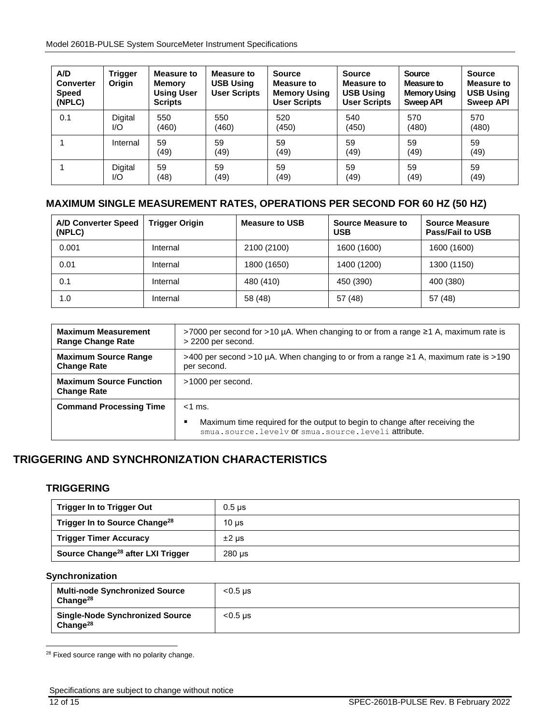Model 2601B-PULSE System SourceMeter Instrument Specifications

| A/D<br><b>Converter</b><br><b>Speed</b><br>(NPLC) | Trigger<br>Origin | Measure to<br><b>Memory</b><br><b>Using User</b><br><b>Scripts</b> | <b>Measure to</b><br><b>USB Using</b><br><b>User Scripts</b> | <b>Source</b><br><b>Measure to</b><br><b>Memory Using</b><br><b>User Scripts</b> | <b>Source</b><br><b>Measure to</b><br><b>USB Using</b><br><b>User Scripts</b> | <b>Source</b><br>Measure to<br><b>Memory Using</b><br><b>Sweep API</b> | <b>Source</b><br><b>Measure to</b><br><b>USB Using</b><br><b>Sweep API</b> |
|---------------------------------------------------|-------------------|--------------------------------------------------------------------|--------------------------------------------------------------|----------------------------------------------------------------------------------|-------------------------------------------------------------------------------|------------------------------------------------------------------------|----------------------------------------------------------------------------|
| 0.1                                               | Digital           | 550                                                                | 550                                                          | 520                                                                              | 540                                                                           | 570                                                                    | 570                                                                        |
|                                                   | I/O               | (460)                                                              | (460)                                                        | (450)                                                                            | (450)                                                                         | (480)                                                                  | (480)                                                                      |
|                                                   | Internal          | 59<br>(49)                                                         | 59<br>(49)                                                   | 59<br>(49)                                                                       | 59<br>(49)                                                                    | 59<br>(49)                                                             | 59<br>(49)                                                                 |
|                                                   | Digital           | 59                                                                 | 59                                                           | 59                                                                               | 59                                                                            | 59                                                                     | 59                                                                         |
|                                                   | I/O               | (48)                                                               | (49)                                                         | (49)                                                                             | (49)                                                                          | (49)                                                                   | (49)                                                                       |

## **MAXIMUM SINGLE MEASUREMENT RATES, OPERATIONS PER SECOND FOR 60 HZ (50 HZ)**

| <b>A/D Converter Speed</b><br>(NPLC) | <b>Trigger Origin</b> | <b>Measure to USB</b> | <b>Source Measure to</b><br><b>USB</b> | <b>Source Measure</b><br><b>Pass/Fail to USB</b> |
|--------------------------------------|-----------------------|-----------------------|----------------------------------------|--------------------------------------------------|
| 0.001                                | Internal              | 2100 (2100)           | 1600 (1600)                            | 1600 (1600)                                      |
| 0.01                                 | Internal              | 1800 (1650)           | 1400 (1200)                            | 1300 (1150)                                      |
| 0.1                                  | Internal              | 480 (410)             | 450 (390)                              | 400 (380)                                        |
| 1.0                                  | Internal              | 58 (48)               | 57(48)                                 | 57 (48)                                          |

| <b>Maximum Measurement</b>                           | >7000 per second for >10 µA. When changing to or from a range ≥1 A, maximum rate is                                                                  |
|------------------------------------------------------|------------------------------------------------------------------------------------------------------------------------------------------------------|
| <b>Range Change Rate</b>                             | > 2200 per second.                                                                                                                                   |
| <b>Maximum Source Range</b>                          | >400 per second >10 µA. When changing to or from a range ≥1 A, maximum rate is >190                                                                  |
| <b>Change Rate</b>                                   | per second.                                                                                                                                          |
| <b>Maximum Source Function</b><br><b>Change Rate</b> | >1000 per second.                                                                                                                                    |
| <b>Command Processing Time</b>                       | $<$ 1 ms.<br>Maximum time required for the output to begin to change after receiving the<br>٠<br>smua.source.levely or smua.source.leveli attribute. |

# **TRIGGERING AND SYNCHRONIZATION CHARACTERISTICS**

#### **TRIGGERING**

| <b>Trigger In to Trigger Out</b>              | $0.5 \,\mathrm{\mu s}$ |
|-----------------------------------------------|------------------------|
| Trigger In to Source Change <sup>28</sup>     | $10 \mu s$             |
| <b>Trigger Timer Accuracy</b>                 | $±2 \mu s$             |
| Source Change <sup>28</sup> after LXI Trigger | $280 \mu s$            |

#### **Synchronization**

<span id="page-11-0"></span>

| <b>Multi-node Synchronized Source</b><br>Change $^{28}$        | $< 0.5$ us |
|----------------------------------------------------------------|------------|
| <b>Single-Node Synchronized Source</b><br>Change <sup>28</sup> | $< 0.5$ us |

<sup>&</sup>lt;sup>28</sup> Fixed source range with no polarity change.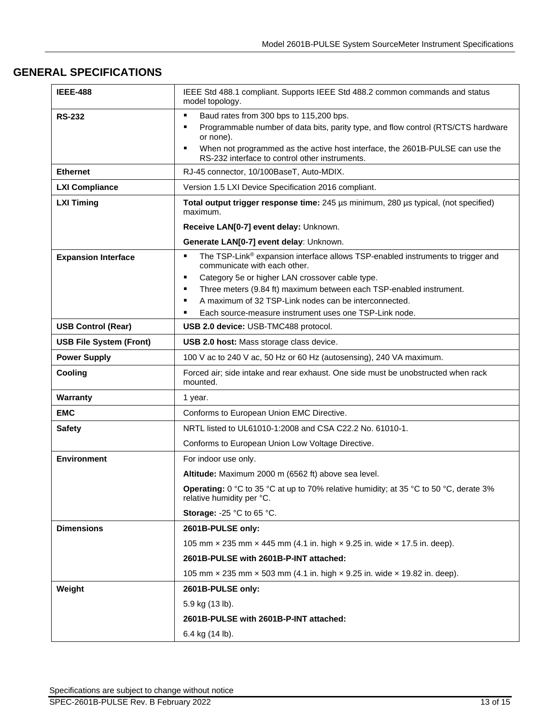## **GENERAL SPECIFICATIONS**

| <b>IEEE-488</b>                | IEEE Std 488.1 compliant. Supports IEEE Std 488.2 common commands and status<br>model topology.                                                                                                                                           |
|--------------------------------|-------------------------------------------------------------------------------------------------------------------------------------------------------------------------------------------------------------------------------------------|
| <b>RS-232</b>                  | Baud rates from 300 bps to 115,200 bps.<br>٠<br>Programmable number of data bits, parity type, and flow control (RTS/CTS hardware<br>п<br>or none).<br>When not programmed as the active host interface, the 2601B-PULSE can use the<br>п |
|                                | RS-232 interface to control other instruments.                                                                                                                                                                                            |
| <b>Ethernet</b>                | RJ-45 connector, 10/100BaseT, Auto-MDIX.                                                                                                                                                                                                  |
| <b>LXI Compliance</b>          | Version 1.5 LXI Device Specification 2016 compliant.                                                                                                                                                                                      |
| <b>LXI Timing</b>              | Total output trigger response time: 245 µs minimum, 280 µs typical, (not specified)<br>maximum.                                                                                                                                           |
|                                | Receive LAN[0-7] event delay: Unknown.                                                                                                                                                                                                    |
|                                | Generate LAN[0-7] event delay: Unknown.                                                                                                                                                                                                   |
| <b>Expansion Interface</b>     | The TSP-Link <sup>®</sup> expansion interface allows TSP-enabled instruments to trigger and<br>П<br>communicate with each other.<br>Category 5e or higher LAN crossover cable type.<br>п                                                  |
|                                | Three meters (9.84 ft) maximum between each TSP-enabled instrument.<br>п                                                                                                                                                                  |
|                                | A maximum of 32 TSP-Link nodes can be interconnected.<br>п                                                                                                                                                                                |
|                                | Each source-measure instrument uses one TSP-Link node.                                                                                                                                                                                    |
| <b>USB Control (Rear)</b>      | USB 2.0 device: USB-TMC488 protocol.                                                                                                                                                                                                      |
| <b>USB File System (Front)</b> | USB 2.0 host: Mass storage class device.                                                                                                                                                                                                  |
| <b>Power Supply</b>            | 100 V ac to 240 V ac, 50 Hz or 60 Hz (autosensing), 240 VA maximum.                                                                                                                                                                       |
| Cooling                        | Forced air; side intake and rear exhaust. One side must be unobstructed when rack<br>mounted.                                                                                                                                             |
| Warranty                       | 1 year.                                                                                                                                                                                                                                   |
| <b>EMC</b>                     | Conforms to European Union EMC Directive.                                                                                                                                                                                                 |
| <b>Safety</b>                  | NRTL listed to UL61010-1:2008 and CSA C22.2 No. 61010-1.                                                                                                                                                                                  |
|                                | Conforms to European Union Low Voltage Directive.                                                                                                                                                                                         |
| <b>Environment</b>             | For indoor use only.                                                                                                                                                                                                                      |
|                                | Altitude: Maximum 2000 m (6562 ft) above sea level.                                                                                                                                                                                       |
|                                | Operating: 0 °C to 35 °C at up to 70% relative humidity; at 35 °C to 50 °C, derate 3%<br>relative humidity per °C.                                                                                                                        |
|                                | Storage: -25 $^{\circ}$ C to 65 $^{\circ}$ C.                                                                                                                                                                                             |
| <b>Dimensions</b>              | 2601B-PULSE only:                                                                                                                                                                                                                         |
|                                | 105 mm x 235 mm x 445 mm (4.1 in. high x 9.25 in. wide x 17.5 in. deep).                                                                                                                                                                  |
|                                | 2601B-PULSE with 2601B-P-INT attached:                                                                                                                                                                                                    |
|                                | 105 mm x 235 mm x 503 mm (4.1 in. high x 9.25 in. wide x 19.82 in. deep).                                                                                                                                                                 |
| Weight                         | 2601B-PULSE only:                                                                                                                                                                                                                         |
|                                | 5.9 kg (13 lb).                                                                                                                                                                                                                           |
|                                | 2601B-PULSE with 2601B-P-INT attached:                                                                                                                                                                                                    |
|                                | 6.4 kg (14 lb).                                                                                                                                                                                                                           |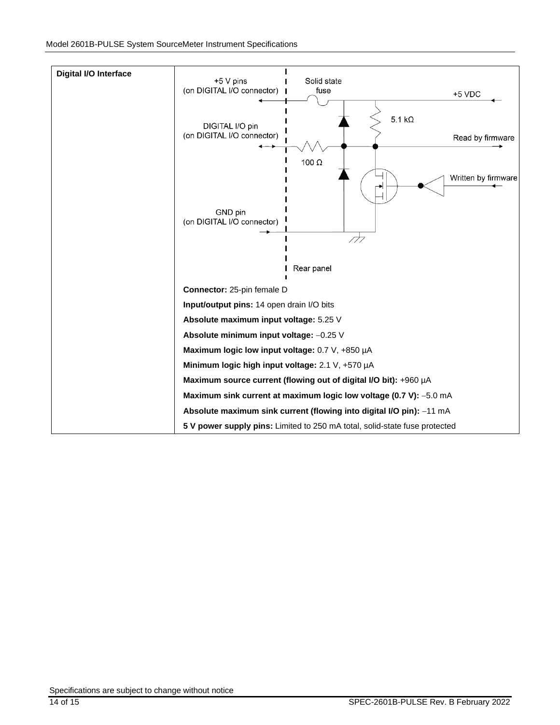